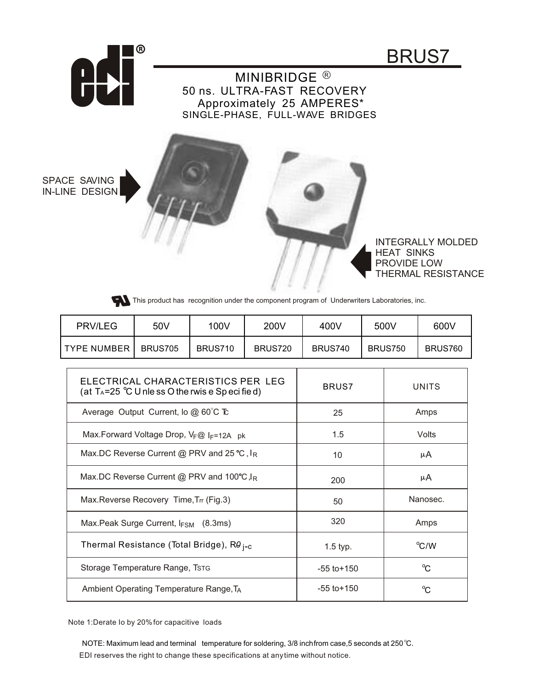



This product has recognition under the component program of Underwriters Laboratories, inc.

| <b>PRV/LEG</b> | 50V     | 100V    | 200V    | 400V    | 500V           | 600V    |
|----------------|---------|---------|---------|---------|----------------|---------|
| I TYPE NUMBER  | BRUS705 | BRUS710 | BRUS720 | BRUS740 | <b>BRUS750</b> | BRUS760 |

| ELECTRICAL CHARACTERISTICS PER LEG<br>(at $T_A = 25$ °C U nle ss O the rwis e Sp eci fied) | BRUS7           | UNITS        |
|--------------------------------------------------------------------------------------------|-----------------|--------------|
| Average Output Current, lo $@60^{\circ}$ C Tc                                              | 25              | Amps         |
| Max.Forward Voltage Drop, VF@ IF=12A pk                                                    | 1.5             | Volts        |
| Max.DC Reverse Current @ PRV and 25 °C, $I_R$                                              | 10              | μA           |
| Max.DC Reverse Current @ PRV and 100°C, $I_R$                                              | 200             | μA           |
| Max. Reverse Recovery Time, Trr (Fig. 3)                                                   | 50              | Nanosec.     |
| Max. Peak Surge Current, $I_{FSM}$ (8.3ms)                                                 | 320             | Amps         |
| Thermal Resistance (Total Bridge), Rθ <sub>i−c</sub>                                       | $1.5$ typ.      | °C/W         |
| Storage Temperature Range, Tstg                                                            | $-55$ to $+150$ | $^{\circ}C$  |
| Ambient Operating Temperature Range, T <sub>A</sub>                                        | $-55$ to $+150$ | $^{\circ}$ C |

Note 1:Derate Io by 20%for capacitive loads

EDI reserves the right to change these specifications at anytime without notice. NOTE: Maximum lead and terminal temperature for soldering, 3/8 inchfrom case,5 seconds at 250 °C.